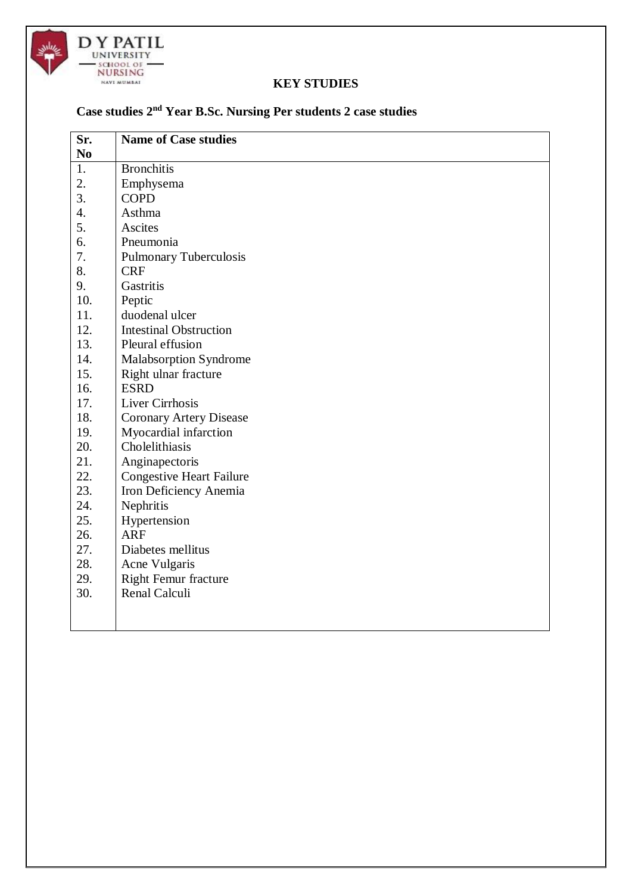

#### **KEY STUDIES**

### **Case studies 2nd Year B.Sc. Nursing Per students 2 case studies**

| Sr.            | <b>Name of Case studies</b>     |
|----------------|---------------------------------|
| N <sub>0</sub> |                                 |
| 1.             | <b>Bronchitis</b>               |
| 2.             | Emphysema                       |
| 3.             | <b>COPD</b>                     |
| 4.             | Asthma                          |
| 5.             | Ascites                         |
| 6.             | Pneumonia                       |
| 7.             | <b>Pulmonary Tuberculosis</b>   |
| 8.             | <b>CRF</b>                      |
| 9.             | Gastritis                       |
| 10.            | Peptic                          |
| 11.            | duodenal ulcer                  |
| 12.            | <b>Intestinal Obstruction</b>   |
| 13.            | Pleural effusion                |
| 14.            | <b>Malabsorption Syndrome</b>   |
| 15.            | Right ulnar fracture            |
| 16.            | <b>ESRD</b>                     |
| 17.            | Liver Cirrhosis                 |
| 18.            | <b>Coronary Artery Disease</b>  |
| 19.            | Myocardial infarction           |
| 20.            | Cholelithiasis                  |
| 21.            | Anginapectoris                  |
| 22.            | <b>Congestive Heart Failure</b> |
| 23.            | Iron Deficiency Anemia          |
| 24.            | Nephritis                       |
| 25.            | Hypertension                    |
| 26.            | <b>ARF</b>                      |
| 27.            | Diabetes mellitus               |
| 28.            | Acne Vulgaris                   |
| 29.            | <b>Right Femur fracture</b>     |
| 30.            | Renal Calculi                   |
|                |                                 |
|                |                                 |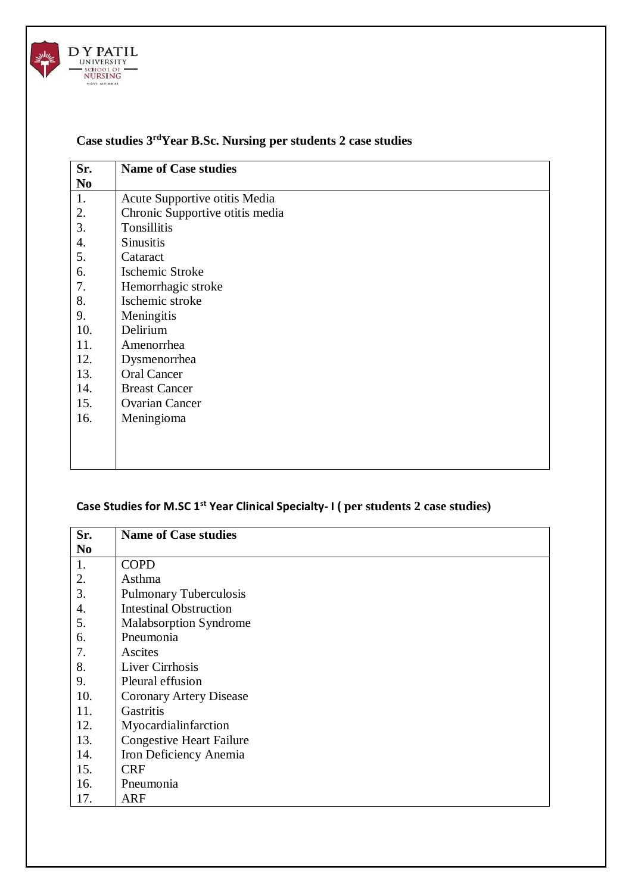

# **Case studies 3rdYear B.Sc. Nursing per students 2 case studies**

| Sr.            | <b>Name of Case studies</b>     |
|----------------|---------------------------------|
| N <sub>0</sub> |                                 |
| 1.             | Acute Supportive otitis Media   |
| 2.             | Chronic Supportive otitis media |
| 3.             | Tonsillitis                     |
| 4.             | <b>Sinusitis</b>                |
| 5.             | Cataract                        |
| 6.             | Ischemic Stroke                 |
| 7.             | Hemorrhagic stroke              |
| 8.             | Ischemic stroke                 |
| 9.             | Meningitis                      |
| 10.            | Delirium                        |
| 11.            | Amenorrhea                      |
| 12.            | Dysmenorrhea                    |
| 13.            | <b>Oral Cancer</b>              |
| 14.            | <b>Breast Cancer</b>            |
| 15.            | <b>Ovarian Cancer</b>           |
| 16.            | Meningioma                      |
|                |                                 |
|                |                                 |
|                |                                 |

## **Case Studies for M.SC 1st Year Clinical Specialty- I ( per students 2 case studies)**

| Sr.            | <b>Name of Case studies</b>     |
|----------------|---------------------------------|
| N <sub>0</sub> |                                 |
| 1.             | <b>COPD</b>                     |
| 2.             | Asthma                          |
| 3.             | <b>Pulmonary Tuberculosis</b>   |
| 4.             | <b>Intestinal Obstruction</b>   |
| 5.             | Malabsorption Syndrome          |
| 6.             | Pneumonia                       |
| 7.             | Ascites                         |
| 8.             | Liver Cirrhosis                 |
| 9.             | Pleural effusion                |
| 10.            | <b>Coronary Artery Disease</b>  |
| 11.            | Gastritis                       |
| 12.            | Myocardialinfarction            |
| 13.            | <b>Congestive Heart Failure</b> |
| 14.            | Iron Deficiency Anemia          |
| 15.            | <b>CRF</b>                      |
| 16.            | Pneumonia                       |
| 17.            | <b>ARF</b>                      |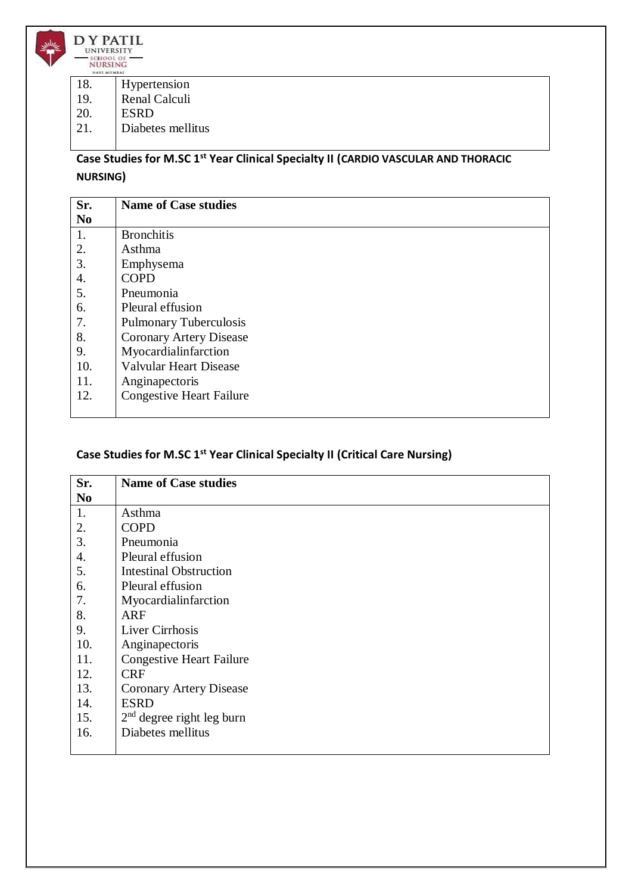

| 18. | Hypertension |
|-----|--------------|
|-----|--------------|

- 19. Renal Calculi
- 20. ESRD
- 21. Diabetes mellitus

### **Case Studies for M.SC 1st Year Clinical Specialty II (CARDIO VASCULAR AND THORACIC NURSING)**

| Sr.            | <b>Name of Case studies</b>     |
|----------------|---------------------------------|
| N <sub>0</sub> |                                 |
| 1.             | <b>Bronchitis</b>               |
| 2.             | Asthma                          |
| 3.             | Emphysema                       |
| 4.             | <b>COPD</b>                     |
| 5.             | Pneumonia                       |
| 6.             | Pleural effusion                |
| 7.             | <b>Pulmonary Tuberculosis</b>   |
| 8.             | <b>Coronary Artery Disease</b>  |
| 9.             | Myocardialinfarction            |
| 10.            | <b>Valvular Heart Disease</b>   |
| 11.            | Anginapectoris                  |
| 12.            | <b>Congestive Heart Failure</b> |
|                |                                 |

#### **Case Studies for M.SC 1st Year Clinical Specialty II (Critical Care Nursing)**

| Sr.            | <b>Name of Case studies</b>     |
|----------------|---------------------------------|
| N <sub>0</sub> |                                 |
| 1.             | Asthma                          |
| 2.             | <b>COPD</b>                     |
| 3.             | Pneumonia                       |
| 4.             | Pleural effusion                |
| 5.             | <b>Intestinal Obstruction</b>   |
| 6.             | Pleural effusion                |
| 7.             | Myocardialinfarction            |
| 8.             | <b>ARF</b>                      |
| 9.             | Liver Cirrhosis                 |
| 10.            | Anginapectoris                  |
| 11.            | <b>Congestive Heart Failure</b> |
| 12.            | <b>CRF</b>                      |
| 13.            | <b>Coronary Artery Disease</b>  |
| 14.            | <b>ESRD</b>                     |
| 15.            | $2nd$ degree right leg burn     |
| 16.            | Diabetes mellitus               |
|                |                                 |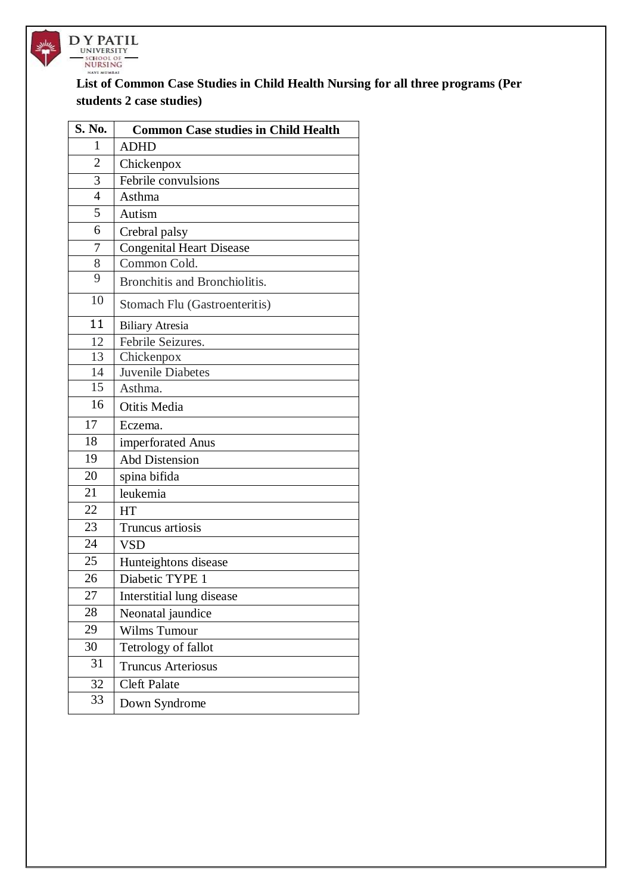

#### **List of Common Case Studies in Child Health Nursing for all three programs (Per students 2 case studies)**

| S. No.          | <b>Common Case studies in Child Health</b> |
|-----------------|--------------------------------------------|
| 1               | <b>ADHD</b>                                |
| $\overline{2}$  | Chickenpox                                 |
| 3               | Febrile convulsions                        |
| $\overline{4}$  | Asthma                                     |
| 5               | Autism                                     |
| 6               | Crebral palsy                              |
| 7               | <b>Congenital Heart Disease</b>            |
| 8               | Common Cold.                               |
| 9               | Bronchitis and Bronchiolitis.              |
| 10              | Stomach Flu (Gastroenteritis)              |
| 11              | <b>Biliary Atresia</b>                     |
| 12              | Febrile Seizures.                          |
| 13              | Chickenpox                                 |
| 14              | <b>Juvenile Diabetes</b>                   |
| $\overline{15}$ | Asthma.                                    |
| 16              | Otitis Media                               |
| 17              | Eczema.                                    |
| 18              | imperforated Anus                          |
| 19              | <b>Abd Distension</b>                      |
| 20              | spina bifida                               |
| 21              | leukemia                                   |
| 22              | HT                                         |
| 23              | Truncus artiosis                           |
| 24              | <b>VSD</b>                                 |
| 25              | Hunteightons disease                       |
| 26              | Diabetic TYPE 1                            |
| 27              | Interstitial lung disease                  |
| 28              | Neonatal jaundice                          |
| 29              | Wilms Tumour                               |
| 30              | Tetrology of fallot                        |
| 31              | <b>Truncus Arteriosus</b>                  |
| 32              | <b>Cleft Palate</b>                        |
| 33              | Down Syndrome                              |